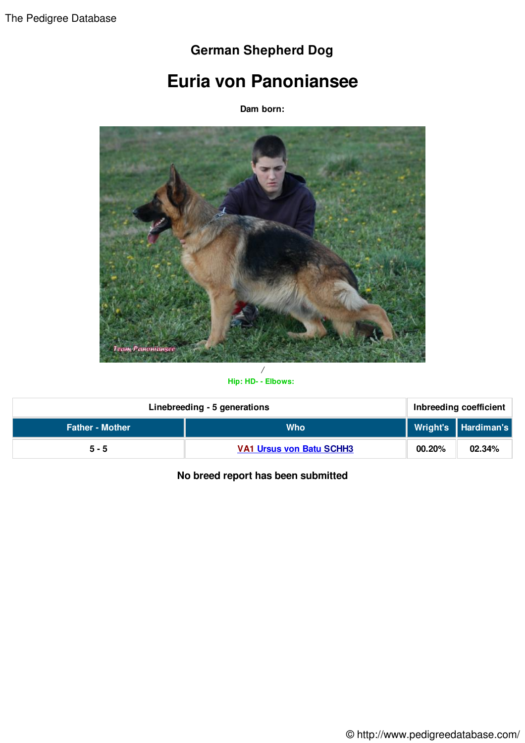## **German Shepherd Dog**

## **Euria von Panoniansee**

**Dam born:**



## **Hip: HD- - Elbows:**

| Linebreeding - 5 generations |                                 | Inbreeding coefficient |                     |
|------------------------------|---------------------------------|------------------------|---------------------|
| <b>Father - Mother</b>       | <b>Who</b>                      |                        | Wright's Hardiman's |
| $5 - 5$                      | <b>VA1 Ursus von Batu SCHH3</b> | 00.20%                 | 02.34%              |

**No breed report has been submitted**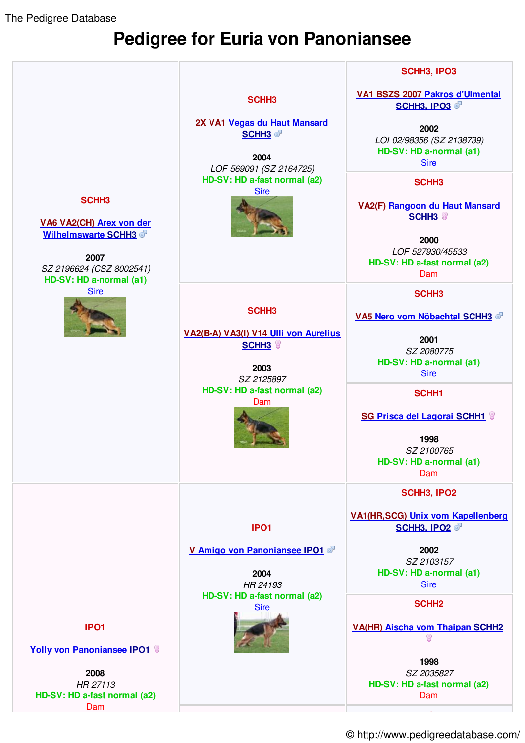The Pedigree Database

## **Pedigree for Euria von Panoniansee**



© http://www.pedigreedatabase.com/